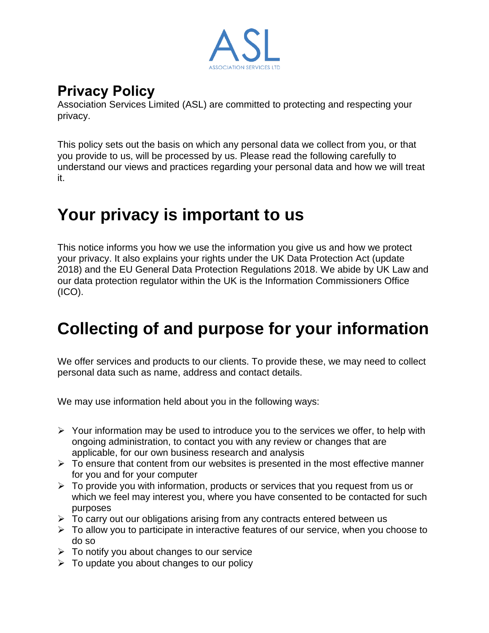

#### **Privacy Policy**

Association Services Limited (ASL) are committed to protecting and respecting your privacy.

This policy sets out the basis on which any personal data we collect from you, or that you provide to us, will be processed by us. Please read the following carefully to understand our views and practices regarding your personal data and how we will treat it.

# **Your privacy is important to us**

This notice informs you how we use the information you give us and how we protect your privacy. It also explains your rights under the UK Data Protection Act (update 2018) and the EU General Data Protection Regulations 2018. We abide by UK Law and our data protection regulator within the UK is the Information Commissioners Office  $(ICO).$ 

# **Collecting of and purpose for your information**

We offer services and products to our clients. To provide these, we may need to collect personal data such as name, address and contact details.

We may use information held about you in the following ways:

- $\triangleright$  Your information may be used to introduce you to the services we offer, to help with ongoing administration, to contact you with any review or changes that are applicable, for our own business research and analysis
- $\triangleright$  To ensure that content from our websites is presented in the most effective manner for you and for your computer
- $\triangleright$  To provide you with information, products or services that you request from us or which we feel may interest you, where you have consented to be contacted for such purposes
- ➢ To carry out our obligations arising from any contracts entered between us
- $\triangleright$  To allow you to participate in interactive features of our service, when you choose to do so
- $\triangleright$  To notify you about changes to our service
- $\triangleright$  To update you about changes to our policy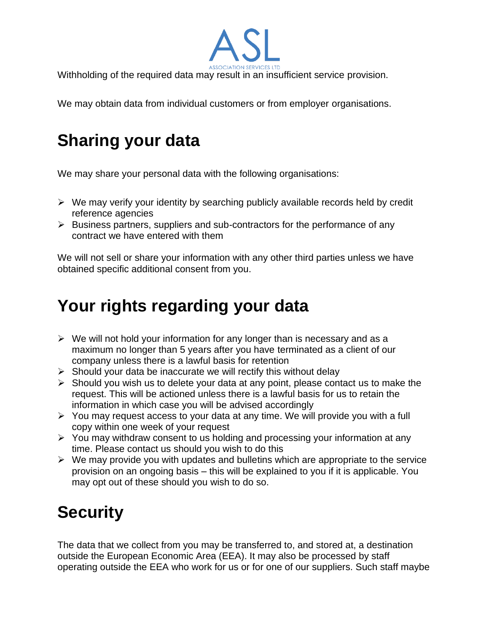Withholding of the required data may result in an insufficient service provision.

We may obtain data from individual customers or from employer organisations.

# **Sharing your data**

We may share your personal data with the following organisations:

- ➢ We may verify your identity by searching publicly available records held by credit reference agencies
- ➢ Business partners, suppliers and sub-contractors for the performance of any contract we have entered with them

We will not sell or share your information with any other third parties unless we have obtained specific additional consent from you.

# **Your rights regarding your data**

- $\triangleright$  We will not hold your information for any longer than is necessary and as a maximum no longer than 5 years after you have terminated as a client of our company unless there is a lawful basis for retention
- $\triangleright$  Should your data be inaccurate we will rectify this without delay
- ➢ Should you wish us to delete your data at any point, please contact us to make the request. This will be actioned unless there is a lawful basis for us to retain the information in which case you will be advised accordingly
- $\triangleright$  You may request access to your data at any time. We will provide you with a full copy within one week of your request
- $\triangleright$  You may withdraw consent to us holding and processing your information at any time. Please contact us should you wish to do this
- $\triangleright$  We may provide you with updates and bulletins which are appropriate to the service provision on an ongoing basis – this will be explained to you if it is applicable. You may opt out of these should you wish to do so.

# **Security**

The data that we collect from you may be transferred to, and stored at, a destination outside the European Economic Area (EEA). It may also be processed by staff operating outside the EEA who work for us or for one of our suppliers. Such staff maybe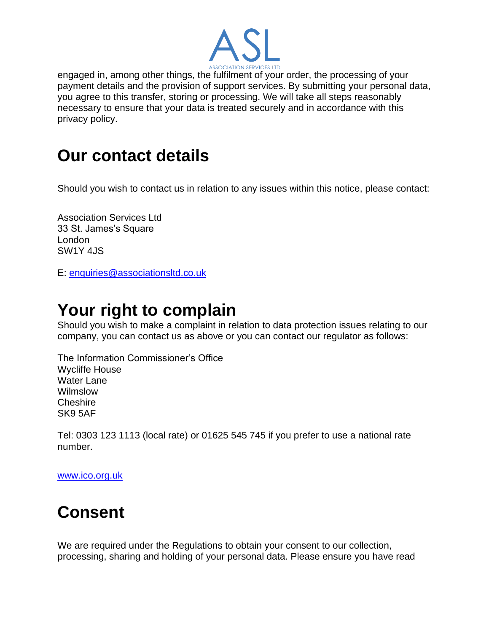

engaged in, among other things, the fulfilment of your order, the processing of your payment details and the provision of support services. By submitting your personal data, you agree to this transfer, storing or processing. We will take all steps reasonably necessary to ensure that your data is treated securely and in accordance with this privacy policy.

### **Our contact details**

Should you wish to contact us in relation to any issues within this notice, please contact:

Association Services Ltd 33 St. James's Square London SW1Y 4JS

E: [enquiries@associationsltd.co.uk](mailto:enquiries@associationsltd.co.uk)

### **Your right to complain**

Should you wish to make a complaint in relation to data protection issues relating to our company, you can contact us as above or you can contact our regulator as follows:

The Information Commissioner's Office Wycliffe House Water Lane Wilmslow **Cheshire** SK9 5AF

Tel: 0303 123 1113 (local rate) or 01625 545 745 if you prefer to use a national rate number.

[www.ico.org.uk](http://www.ico.org.uk/)

# **Consent**

We are required under the Regulations to obtain your consent to our collection, processing, sharing and holding of your personal data. Please ensure you have read